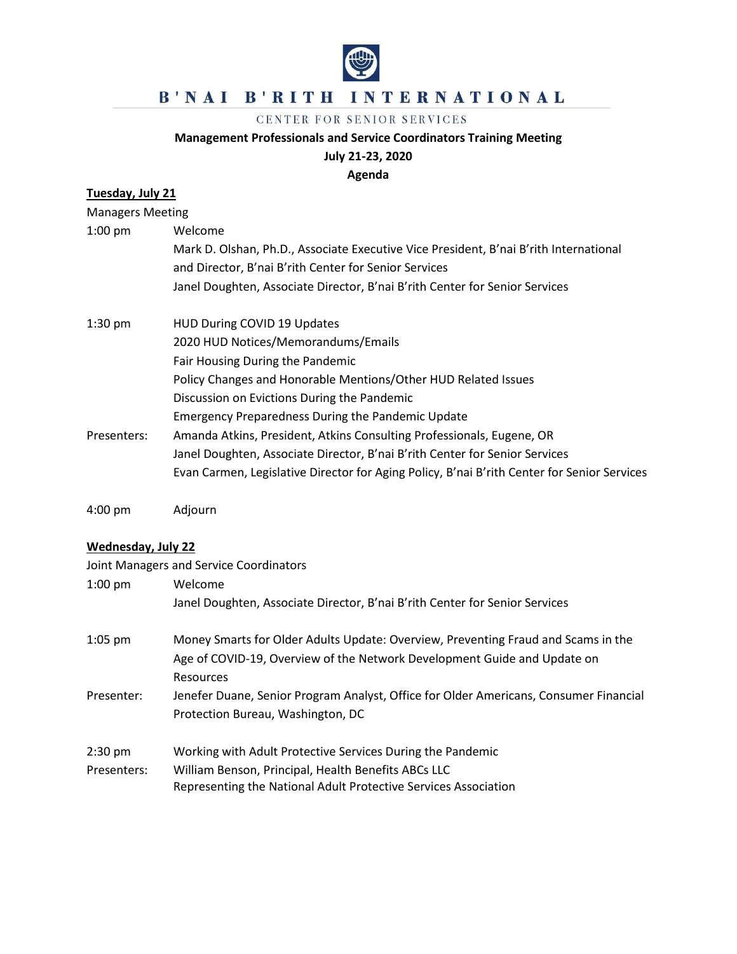

## B'NAI B'RITH INTERNATIONAL

#### CENTER FOR SENIOR SERVICES

#### **Management Professionals and Service Coordinators Training Meeting**

#### **July 21-23, 2020**

**Agenda**

# **Tuesday, July 21**

| <b>Managers Meeting</b> |                                                                                             |
|-------------------------|---------------------------------------------------------------------------------------------|
| $1:00$ pm               | Welcome                                                                                     |
|                         | Mark D. Olshan, Ph.D., Associate Executive Vice President, B'nai B'rith International       |
|                         | and Director, B'nai B'rith Center for Senior Services                                       |
|                         | Janel Doughten, Associate Director, B'nai B'rith Center for Senior Services                 |
| $1:30$ pm               | HUD During COVID 19 Updates                                                                 |
|                         | 2020 HUD Notices/Memorandums/Emails                                                         |
|                         | Fair Housing During the Pandemic                                                            |
|                         | Policy Changes and Honorable Mentions/Other HUD Related Issues                              |
|                         | Discussion on Evictions During the Pandemic                                                 |
|                         | <b>Emergency Preparedness During the Pandemic Update</b>                                    |
| Presenters:             | Amanda Atkins, President, Atkins Consulting Professionals, Eugene, OR                       |
|                         | Janel Doughten, Associate Director, B'nai B'rith Center for Senior Services                 |
|                         | Evan Carmen, Legislative Director for Aging Policy, B'nai B'rith Center for Senior Services |
|                         |                                                                                             |

4:00 pm Adjourn

### **Wednesday, July 22**

|             | Joint Managers and Service Coordinators                                               |
|-------------|---------------------------------------------------------------------------------------|
| $1:00$ pm   | Welcome                                                                               |
|             | Janel Doughten, Associate Director, B'nai B'rith Center for Senior Services           |
| $1:05$ pm   | Money Smarts for Older Adults Update: Overview, Preventing Fraud and Scams in the     |
|             | Age of COVID-19, Overview of the Network Development Guide and Update on              |
|             | Resources                                                                             |
| Presenter:  | Jenefer Duane, Senior Program Analyst, Office for Older Americans, Consumer Financial |
|             | Protection Bureau, Washington, DC                                                     |
| $2:30$ pm   | Working with Adult Protective Services During the Pandemic                            |
| Presenters: | William Benson, Principal, Health Benefits ABCs LLC                                   |
|             | Representing the National Adult Protective Services Association                       |